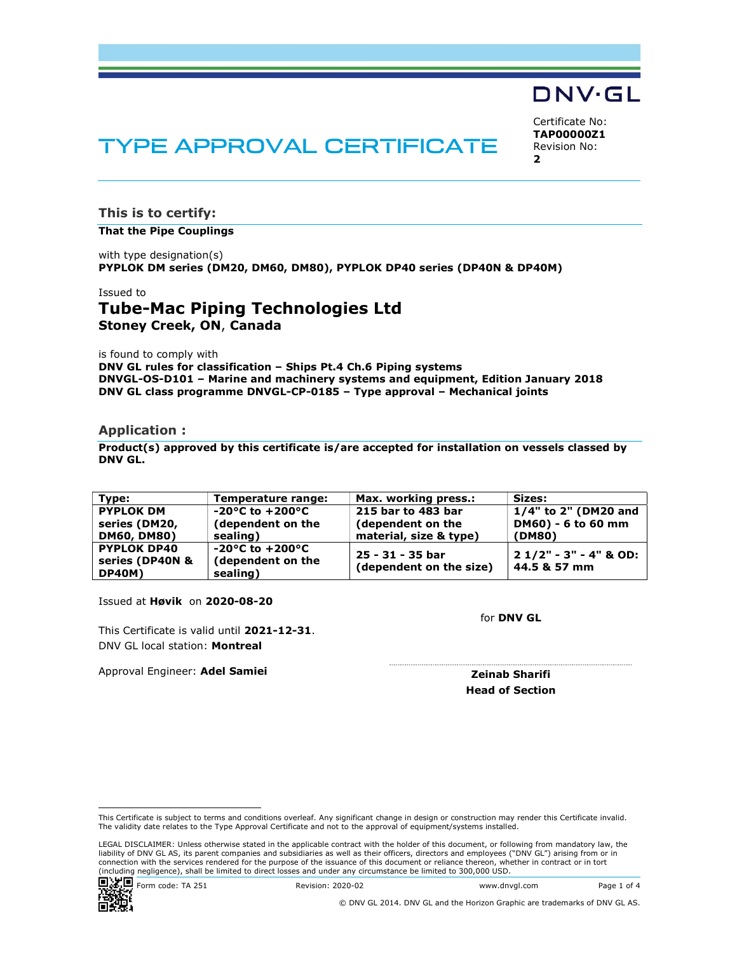

# TYPE APPROVAL CERTIFICATE

Certificate No: **TAP00000Z1** Revision No: **2** 

**This is to certify:** 

#### **That the Pipe Couplings**

with type designation(s) **PYPLOK DM series (DM20, DM60, DM80), PYPLOK DP40 series (DP40N & DP40M)**

#### Issued to

## **Tube-Mac Piping Technologies Ltd Stoney Creek, ON**, **Canada**

is found to comply with

**DNV GL rules for classification – Ships Pt.4 Ch.6 Piping systems DNVGL-OS-D101 – Marine and machinery systems and equipment, Edition January 2018 DNV GL class programme DNVGL-CP-0185 – Type approval – Mechanical joints** 

#### **Application :**

**Product(s) approved by this certificate is/are accepted for installation on vessels classed by DNV GL.**

| Tvpe:              | Temperature range:                  | Max. working press.:    | Sizes:                  |
|--------------------|-------------------------------------|-------------------------|-------------------------|
| <b>PYPLOK DM</b>   | $-20^{\circ}$ C to $+200^{\circ}$ C | 215 bar to 483 bar      | $1/4"$ to 2" (DM20 and  |
| series (DM20,      | (dependent on the                   | (dependent on the       | DM60) - 6 to 60 mm      |
| <b>DM60, DM80)</b> | sealing)                            | material, size & type)  | (DM80)                  |
| <b>PYPLOK DP40</b> | -20°C to $+200$ °C                  | 25 - 31 - 35 bar        | $21/2" - 3" - 4"$ & OD: |
| series (DP40N &    | (dependent on the                   | (dependent on the size) | 44.5 & 57 mm            |
| DP40M)             | sealing)                            |                         |                         |

Issued at **Høvik** on **2020-08-20**

This Certificate is valid until **2021-12-31**. DNV GL local station: **Montreal**

Approval Engineer: **Adel Samiei**



for **DNV GL** Location: DNV GL Høvik, NorwayDigitally Signed By: Zeinab Sharifi

> **Zeinab Sharifi Head of Section**

LEGAL DISCLAIMER: Unless otherwise stated in the applicable contract with the holder of this document, or following from mandatory law, the liability of DNV GL AS, its parent companies and subsidiaries as well as their officers, directors and employees ("DNV GL") arising from or in<br>connection with the services rendered for the purpose of the issuance of this d (including negligence), shall be limited to direct losses and under any circumstance be limited to 300,000 USD.



This Certificate is subject to terms and conditions overleaf. Any significant change in design or construction may render this Certificate invalid. The validity date relates to the Type Approval Certificate and not to the approval of equipment/systems installed.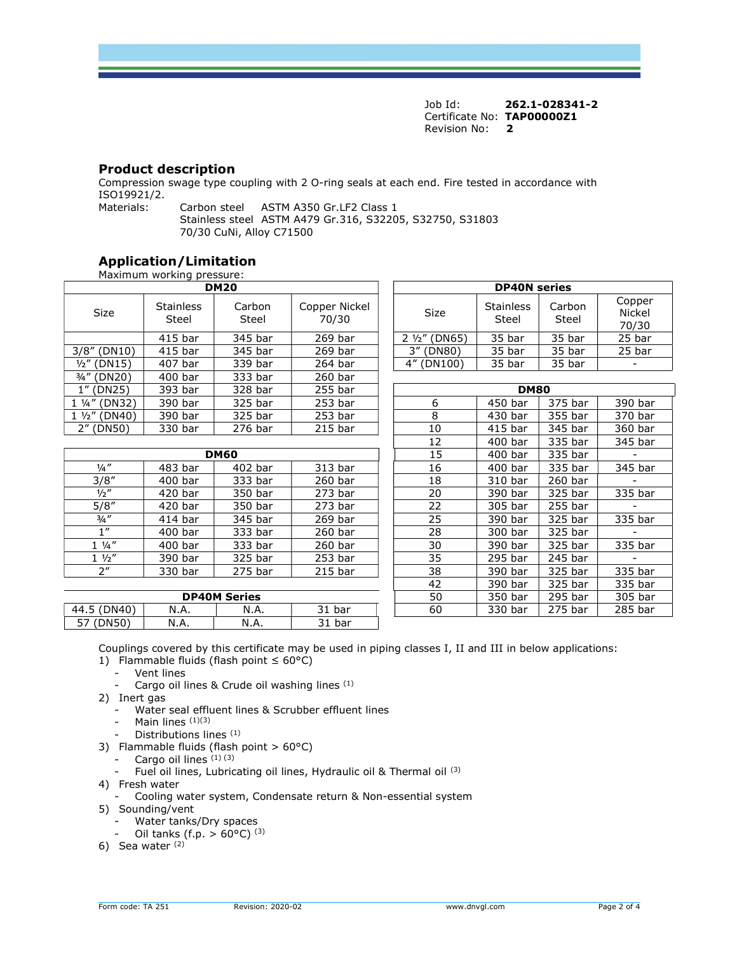Job Id: **262.1-028341-2** Certificate No: **TAP00000Z1** Revision No: **2** 

## **Product description**

Compression swage type coupling with 2 O-ring seals at each end. Fire tested in accordance with ISO19921/2.<br>Materials:

Carbon steel ASTM A350 Gr.LF2 Class 1 Stainless steel ASTM A479 Gr.316, S32205, S32750, S31803 70/30 CuNi, Alloy C71500

## **Application/Limitation**

|                       | Maximum working pressure: |                 |                        |  |                          |                           |                 |                                  |
|-----------------------|---------------------------|-----------------|------------------------|--|--------------------------|---------------------------|-----------------|----------------------------------|
|                       |                           | <b>DM20</b>     |                        |  | <b>DP40N</b> series      |                           |                 |                                  |
| <b>Size</b>           | <b>Stainless</b><br>Steel | Carbon<br>Steel | Copper Nickel<br>70/30 |  | <b>Size</b>              | <b>Stainless</b><br>Steel | Carbon<br>Steel | Copper<br><b>Nickel</b><br>70/30 |
|                       | 415 bar                   | 345 bar         | 269 bar                |  | (DN65)<br>$2\frac{1}{2}$ | 35 bar                    | 35 bar          | 25 bar                           |
| 3/8''<br>(DN10)       | 415 bar                   | 345 bar         | 269 bar                |  | 3" (DN80)                | 35 bar                    | 35 bar          | 25 bar                           |
| $1/2$ " (DN15)        | 407 bar                   | 339 bar         | 264 bar                |  | 4" (DN100)               | 35 bar                    | 35 bar          |                                  |
| 3/4" (DN20)           | $400$ bar                 | 333 bar         | 260 bar                |  |                          |                           |                 |                                  |
| 1" (DN25)             | 393 bar                   | 328 bar         | 255 bar                |  |                          | <b>DM80</b>               |                 |                                  |
| 1 1/4" (DN32)         | 390 bar                   | 325 bar         | $253$ bar              |  | 6                        | 450 bar                   | 375 bar         | 390 bar                          |
| $1\frac{1}{2}$ (DN40) | 390 bar                   | 325 bar         | $253$ bar              |  | 8                        | 430 bar                   | 355 bar         | 370 bar                          |
| 2" (DN50)             | 330 bar                   | 276 bar         | $215$ bar              |  | 10                       | 415 bar                   | 345 bar         | 360 bar                          |

|                 | <b>DM60</b> |         |           |  |          | 400 bar   | 335 bar   |           |
|-----------------|-------------|---------|-----------|--|----------|-----------|-----------|-----------|
| $\frac{1}{4}$ " | 483 bar     | 402 bar | 313 bar   |  | 16       | 400 bar   | 335 bar   | 345 bar   |
| 3/8"            | $400$ bar   | 333 bar | 260 bar   |  | 18       | 310 bar   | 260 bar   |           |
| $\frac{1}{2}$ " | 420 bar     | 350 bar | $273$ bar |  | 20       | 390 bar   | 325 bar   | 335 bar   |
| 5/8''           | 420 bar     | 350 bar | $273$ bar |  | 22       | 305 bar   | 255 bar   |           |
| $3/4$ "         | 414 bar     | 345 bar | 269 bar   |  | 25       | 390 bar   | 325 bar   | 335 bar   |
| 1               | 400 bar     | 333 bar | 260 bar   |  | 28       | 300 bar   | 325 bar   |           |
| $1\frac{1}{4}$  | 400 bar     | 333 bar | 260 bar   |  | 30       | 390 bar   | 325 bar   | 335 bar   |
| $1 \frac{1}{2}$ | 390 bar     | 325 bar | 253 bar   |  | 35       | 295 bar   | 245 bar   |           |
| 2 <sup>n</sup>  | 330 bar     | 275 bar | $215$ bar |  | 38       | 390 bar   | 325 bar   | 335 bar   |
|                 |             |         |           |  | $\Delta$ | $300$ har | $225$ har | $335$ har |

|                    |      | <b>DP40M Series</b> |                          | 50 | 350 bar           | 295 bar               | 305 bar |
|--------------------|------|---------------------|--------------------------|----|-------------------|-----------------------|---------|
| (DN40)<br>44.5     | N.A. | N.A.                | 241<br>bar<br><u>J T</u> | 60 | $230 \text{ bar}$ | י bar ל <sup>כר</sup> | 285 bar |
| ᇊ<br>(DN50)<br>, כ | N.A. | N.A.                | bar<br>ັ                 |    |                   |                       |         |

| <b>DM20</b>        |                 |                        | <b>DP40N</b> series           |                           |                 |                                  |  |  |  |  |
|--------------------|-----------------|------------------------|-------------------------------|---------------------------|-----------------|----------------------------------|--|--|--|--|
| Stainless<br>Steel | Carbon<br>Steel | Copper Nickel<br>70/30 | <b>Size</b>                   | <b>Stainless</b><br>Steel | Carbon<br>Steel | Copper<br><b>Nickel</b><br>70/30 |  |  |  |  |
| 415 bar            | 345 bar         | 269 bar                | $2\frac{1}{2}$ (DN65)         | 35 bar                    | 35 bar          | 25 bar                           |  |  |  |  |
| 415 bar            | 345 bar         | 269 bar                | (DN80)                        | 35 bar                    | 35 bar          | 25 bar                           |  |  |  |  |
| 407 bar            | 339 bar         | 264 bar                | $4^{\prime\prime}$<br>(DN100) | 35 bar                    | 35 bar          |                                  |  |  |  |  |
|                    |                 |                        |                               |                           |                 |                                  |  |  |  |  |

| bar | 328 bar             | 255 bar            |    | <b>DM80</b> |           |         |
|-----|---------------------|--------------------|----|-------------|-----------|---------|
| bar | 325 bar             | 253 <sub>bar</sub> | 6  | 450 bar     | 375 bar   | 390 bar |
| bar | 325 bar             | 253 <sub>bar</sub> | 8  | 430 bar     | 355 bar   | 370 bar |
| bar | 276 bar             | $215$ bar          | 10 | 415 bar     | 345 bar   | 360 bar |
|     |                     |                    | 12 | 400 bar     | 335 bar   | 345 bar |
|     | <b>DM60</b>         |                    | 15 | 400 bar     | 335 bar   |         |
| bar | 402 bar             | 313 bar            | 16 | 400 bar     | 335 bar   | 345 bar |
| bar | 333 bar             | 260 bar            | 18 | 310 bar     | $260$ bar |         |
| bar | 350 bar             | 273 bar            | 20 | 390 bar     | 325 bar   | 335 bar |
| bar | 350 bar             | $273$ bar          | 22 | 305 bar     | 255 bar   |         |
| bar | 345 bar             | 269 bar            | 25 | 390 bar     | 325 bar   | 335 bar |
| bar | 333 bar             | 260 bar            | 28 | 300 bar     | 325 bar   |         |
| bar | 333 bar             | 260 bar            | 30 | 390 bar     | 325 bar   | 335 bar |
| bar | 325 bar             | 253 <sub>bar</sub> | 35 | 295 bar     | 245 bar   |         |
| bar | 275 bar             | 215 bar            | 38 | 390 bar     | 325 bar   | 335 bar |
|     |                     |                    | 42 | 390 bar     | 325 bar   | 335 bar |
|     | <b>DP40M Series</b> |                    | 50 | 350 bar     | 295 bar   | 305 bar |
| ۹.  | N.A.                | 31 bar             | 60 | 330 bar     | 275 bar   | 285 bar |
|     |                     |                    |    |             |           |         |

Couplings covered by this certificate may be used in piping classes I, II and III in below applications:

- 1) Flammable fluids (flash point ≤ 60°C)
- Vent lines
- Cargo oil lines & Crude oil washing lines (1)
- 2) Inert gas
	- Water seal effluent lines & Scrubber effluent lines
	- Main lines (1)(3)
	- Distributions lines (1)
- 3) Flammable fluids (flash point  $> 60^{\circ}$ C)
	- Cargo oil lines  $(1)$   $(3)$
	- Fuel oil lines, Lubricating oil lines, Hydraulic oil & Thermal oil (3)
- 4) Fresh water
	- Cooling water system, Condensate return & Non-essential system
- 5) Sounding/vent
	- Water tanks/Dry spaces
	- Oil tanks (f.p.  $> 60^{\circ}$ C) <sup>(3)</sup>
- 6) Sea water  $(2)$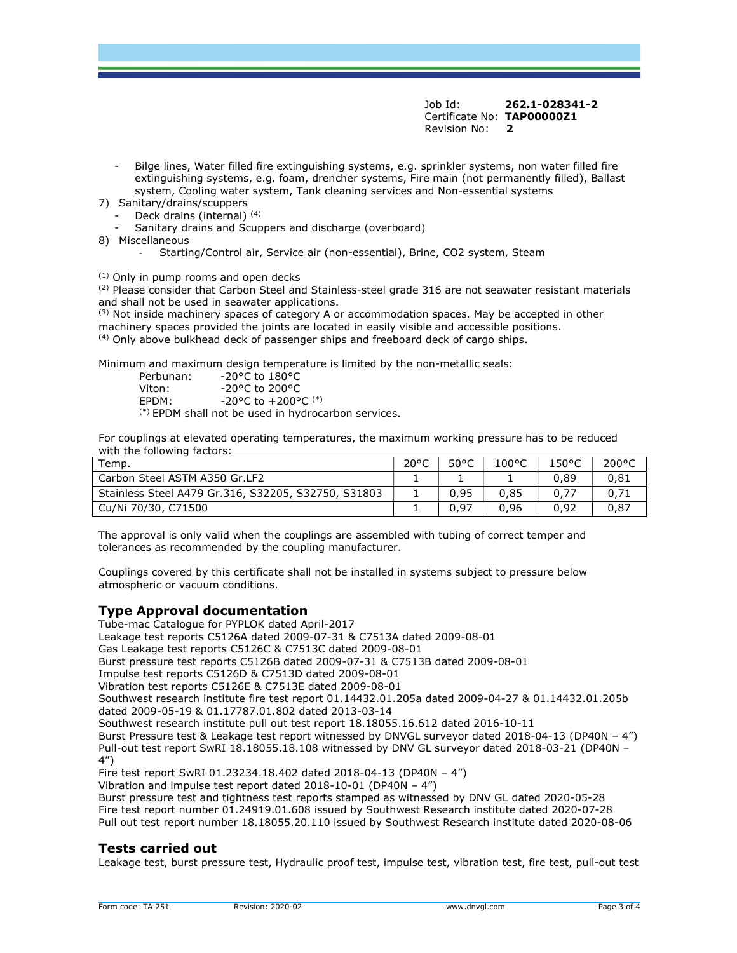Job Id: **262.1-028341-2** Certificate No: **TAP00000Z1** Revision No: **2** 

- Bilge lines, Water filled fire extinguishing systems, e.g. sprinkler systems, non water filled fire extinguishing systems, e.g. foam, drencher systems, Fire main (not permanently filled), Ballast system, Cooling water system, Tank cleaning services and Non-essential systems
- 7) Sanitary/drains/scuppers
	- Deck drains (internal) (4)
	- Sanitary drains and Scuppers and discharge (overboard)
- 8) Miscellaneous
	- Starting/Control air, Service air (non-essential), Brine, CO2 system, Steam

(1) Only in pump rooms and open decks

 $<sup>(2)</sup>$  Please consider that Carbon Steel and Stainless-steel grade 316 are not seawater resistant materials</sup> and shall not be used in seawater applications.

 $<sup>(3)</sup>$  Not inside machinery spaces of category A or accommodation spaces. May be accepted in other</sup> machinery spaces provided the joints are located in easily visible and accessible positions.  $<sup>(4)</sup>$  Only above bulkhead deck of passenger ships and freeboard deck of cargo ships.</sup>

Minimum and maximum design temperature is limited by the non-metallic seals:

| Perbunan:               | $-20^{\circ}$ C to 180 $^{\circ}$ C     |
|-------------------------|-----------------------------------------|
| Viton:                  | $-20^{\circ}$ C to 200 $^{\circ}$ C     |
| EPDM:                   | $-20^{\circ}$ C to $+200^{\circ}$ C (*) |
| $(x)$ $  +$ $+$ $+$ $+$ | .                                       |

 $(*)$  EPDM shall not be used in hydrocarbon services.

For couplings at elevated operating temperatures, the maximum working pressure has to be reduced with the following factors:

| Temp.                                               | $20^{\circ}$ C | 50°C | $100^{\circ}$ C | 150°C | $200^{\circ}$ C |
|-----------------------------------------------------|----------------|------|-----------------|-------|-----------------|
| Carbon Steel ASTM A350 Gr.LF2                       |                |      |                 | 0.89  | 0.81            |
| Stainless Steel A479 Gr.316, S32205, S32750, S31803 |                | 0.95 | 0.85            |       |                 |
| Cu/Ni 70/30, C71500                                 |                | 0,97 | 0.96            | 0.92  | 0.87            |

The approval is only valid when the couplings are assembled with tubing of correct temper and tolerances as recommended by the coupling manufacturer.

Couplings covered by this certificate shall not be installed in systems subject to pressure below atmospheric or vacuum conditions.

## **Type Approval documentation**

Tube-mac Catalogue for PYPLOK dated April-2017 Leakage test reports C5126A dated 2009-07-31 & C7513A dated 2009-08-01 Gas Leakage test reports C5126C & C7513C dated 2009-08-01 Burst pressure test reports C5126B dated 2009-07-31 & C7513B dated 2009-08-01 Impulse test reports C5126D & C7513D dated 2009-08-01 Vibration test reports C5126E & C7513E dated 2009-08-01 Southwest research institute fire test report 01.14432.01.205a dated 2009-04-27 & 01.14432.01.205b dated 2009-05-19 & 01.17787.01.802 dated 2013-03-14 Southwest research institute pull out test report 18.18055.16.612 dated 2016-10-11 Burst Pressure test & Leakage test report witnessed by DNVGL surveyor dated 2018-04-13 (DP40N – 4") Pull-out test report SwRI 18.18055.18.108 witnessed by DNV GL surveyor dated 2018-03-21 (DP40N – 4") Fire test report SwRI 01.23234.18.402 dated 2018-04-13 (DP40N – 4") Vibration and impulse test report dated 2018-10-01 (DP40N – 4") Burst pressure test and tightness test reports stamped as witnessed by DNV GL dated 2020-05-28 Fire test report number 01.24919.01.608 issued by Southwest Research institute dated 2020-07-28

Pull out test report number 18.18055.20.110 issued by Southwest Research institute dated 2020-08-06

## **Tests carried out**

Leakage test, burst pressure test, Hydraulic proof test, impulse test, vibration test, fire test, pull-out test